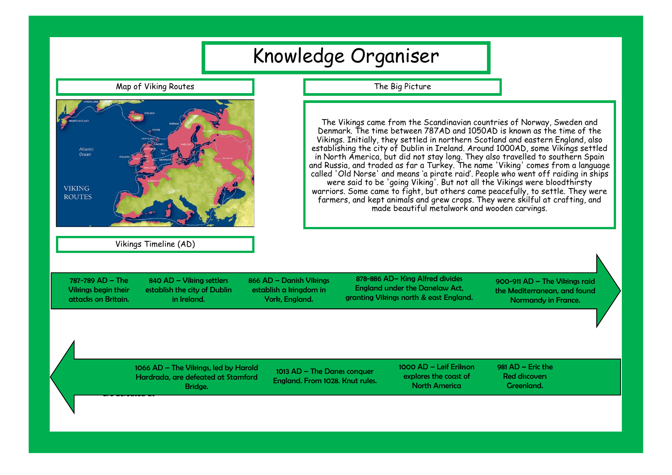| Knowledge Organiser                                                                                                                                                                                                                                                                                                                                                                                                                                                                                                                                                                                                                                                                                                                                                                                                                                                                                                                      |                                                                                                                                                                                                            |  |  |  |  |
|------------------------------------------------------------------------------------------------------------------------------------------------------------------------------------------------------------------------------------------------------------------------------------------------------------------------------------------------------------------------------------------------------------------------------------------------------------------------------------------------------------------------------------------------------------------------------------------------------------------------------------------------------------------------------------------------------------------------------------------------------------------------------------------------------------------------------------------------------------------------------------------------------------------------------------------|------------------------------------------------------------------------------------------------------------------------------------------------------------------------------------------------------------|--|--|--|--|
| Map of Viking Routes                                                                                                                                                                                                                                                                                                                                                                                                                                                                                                                                                                                                                                                                                                                                                                                                                                                                                                                     | The Big Picture                                                                                                                                                                                            |  |  |  |  |
| The Vikings came from the Scandinavian countries of Norway, Sweden and<br>Denmark. The time between 787AD and 1050AD is known as the time of the<br>Vikings. Initially, they settled in northern Scotland and eastern England, also<br>establishing the city of Dublin in Ireland. Around 1000AD, some Vikings settled<br>Atlantic<br>Ocean<br>in North America, but did not stay long. They also travelled to southern Spain<br>and Russia, and traded as far a Turkey. The name 'Viking' comes from a language<br>called 'Old Norse' and means 'a pirate raid'. People who went off raiding in ships<br>were said to be 'going Viking'. But not all the Vikings were bloodthirsty<br><b>VIKING</b><br>warriors. Some came to fight, but others came peacefully, to settle. They were<br><b>ROUTES</b><br>farmers, and kept animals and grew crops. They were skilful at crafting, and<br>made beautiful metalwork and wooden carvings. |                                                                                                                                                                                                            |  |  |  |  |
| Vikings Timeline (AD)                                                                                                                                                                                                                                                                                                                                                                                                                                                                                                                                                                                                                                                                                                                                                                                                                                                                                                                    |                                                                                                                                                                                                            |  |  |  |  |
| 787-789 AD - The<br>840 AD - Viking settlers<br>866 AD - Danish Vikings<br><b>Vikings begin their</b><br>establish the city of Dublin<br>establish a kingdom in<br>attacks on Britain.<br>in Ireland.<br>York, England.                                                                                                                                                                                                                                                                                                                                                                                                                                                                                                                                                                                                                                                                                                                  | 878-886 AD- King Alfred divides<br>900-911 AD - The Vikings raid<br><b>England under the Danelaw Act,</b><br>the Mediterranean, and found<br>granting Vikings north & east England.<br>Normandy in France. |  |  |  |  |
| 1066 AD - The Vikings, led by Harold<br>Hardrada, are defeated at Stamford<br>Bridge.                                                                                                                                                                                                                                                                                                                                                                                                                                                                                                                                                                                                                                                                                                                                                                                                                                                    | 1000 AD - Leif Erikson<br>$981$ AD - Eric the<br>1013 AD - The Danes conquer<br><b>Red discovers</b><br>explores the coast of<br>England. From 1028. Knut rules.<br><b>North America</b><br>Greenland.     |  |  |  |  |